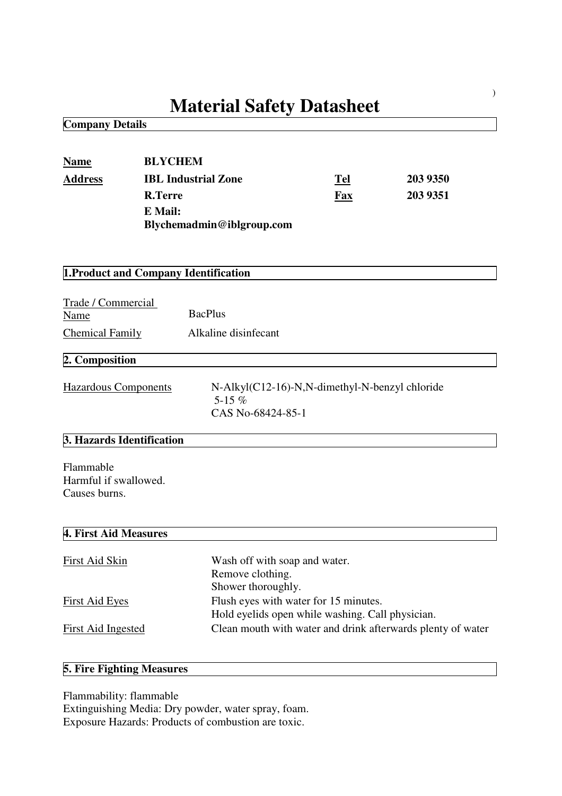# **Material Safety Datasheet**

**Company Details**

| <b>Name</b><br><b>Address</b>                        | <b>BLYCHEM</b><br><b>R.Terre</b><br>E Mail: | <b>IBL Industrial Zone</b><br>Blychemadmin@iblgroup.com                                   | Tel<br>Fax | 203 9350<br>203 9351 |
|------------------------------------------------------|---------------------------------------------|-------------------------------------------------------------------------------------------|------------|----------------------|
|                                                      |                                             | 1. Product and Company Identification                                                     |            |                      |
| Trade / Commercial<br>Name<br><b>Chemical Family</b> |                                             | <b>BacPlus</b><br>Alkaline disinfecant                                                    |            |                      |
| 2. Composition                                       |                                             |                                                                                           |            |                      |
| <b>Hazardous Components</b>                          |                                             | N-Alkyl(C12-16)-N,N-dimethyl-N-benzyl chloride<br>5-15 $%$<br>CAS No-68424-85-1           |            |                      |
| 3. Hazards Identification                            |                                             |                                                                                           |            |                      |
| Flammable<br>Harmful if swallowed.<br>Causes burns.  |                                             |                                                                                           |            |                      |
| 4. First Aid Measures                                |                                             |                                                                                           |            |                      |
| First Aid Skin                                       |                                             | Wash off with soap and water.<br>Remove clothing.<br>Shower thoroughly.                   |            |                      |
| <b>First Aid Eyes</b>                                |                                             | Flush eyes with water for 15 minutes.<br>Hold eyelids open while washing. Call physician. |            |                      |

First Aid Ingested Clean mouth with water and drink afterwards plenty of water

# **5. Fire Fighting Measures**

Flammability: flammable

Extinguishing Media: Dry powder, water spray, foam. Exposure Hazards: Products of combustion are toxic.

)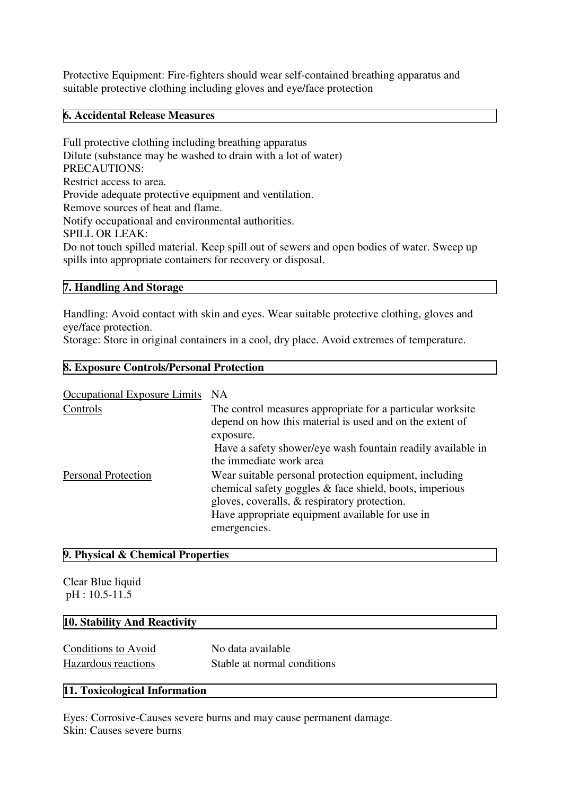Protective Equipment: Fire-fighters should wear self-contained breathing apparatus and suitable protective clothing including gloves and eye/face protection

#### **6. Accidental Release Measures**

Full protective clothing including breathing apparatus Dilute (substance may be washed to drain with a lot of water) PRECAUTIONS: Restrict access to area. Provide adequate protective equipment and ventilation. Remove sources of heat and flame. Notify occupational and environmental authorities. SPILL OR LEAK: Do not touch spilled material. Keep spill out of sewers and open bodies of water. Sweep up spills into appropriate containers for recovery or disposal.

#### **7. Handling And Storage**

Handling: Avoid contact with skin and eyes. Wear suitable protective clothing, gloves and eye/face protection.

Storage: Store in original containers in a cool, dry place. Avoid extremes of temperature.

#### **8. Exposure Controls/Personal Protection**

| <b>Occupational Exposure Limits</b> | NA.                                                                                                                                                                                                                                  |
|-------------------------------------|--------------------------------------------------------------------------------------------------------------------------------------------------------------------------------------------------------------------------------------|
| Controls                            | The control measures appropriate for a particular worksite<br>depend on how this material is used and on the extent of<br>exposure.                                                                                                  |
|                                     | Have a safety shower/eye wash fountain readily available in<br>the immediate work area                                                                                                                                               |
| <b>Personal Protection</b>          | Wear suitable personal protection equipment, including<br>chemical safety goggles & face shield, boots, imperious<br>gloves, coveralls, & respiratory protection.<br>Have appropriate equipment available for use in<br>emergencies. |

#### **9. Physical & Chemical Properties**

Clear Blue liquid pH : 10.5-11.5

#### **10. Stability And Reactivity**

Conditions to Avoid No data available Hazardous reactions Stable at normal conditions

#### **11. Toxicological Information**

Eyes: Corrosive-Causes severe burns and may cause permanent damage. Skin: Causes severe burns